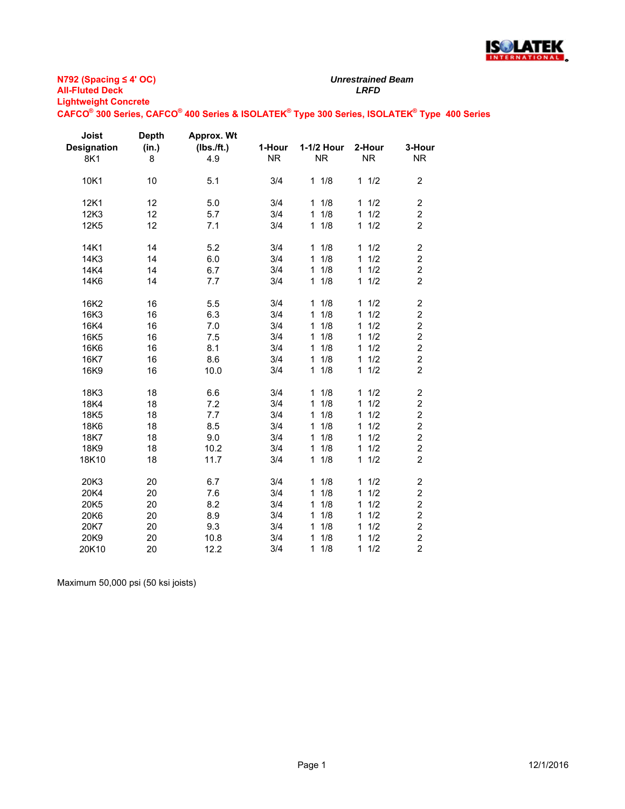

**N792 (Spacing ≤ 4' OC) All-Fluted Deck** *LRFD* **Lightweight Concrete**

**CAFCO® 300 Series, CAFCO® 400 Series & ISOLATEK® Type 300 Series, ISOLATEK® Type 400 Series**

| Joist<br><b>Designation</b> | <b>Depth</b><br>(in.) | Approx. Wt<br>(Ibs./ft.) | 1-Hour    | 1-1/2 Hour          | 2-Hour              | 3-Hour                  |
|-----------------------------|-----------------------|--------------------------|-----------|---------------------|---------------------|-------------------------|
| 8K1                         | 8                     | 4.9                      | <b>NR</b> | <b>NR</b>           | <b>NR</b>           | <b>NR</b>               |
| 10K1                        | 10                    | 5.1                      | 3/4       | 11/8                | 11/2                | $\overline{2}$          |
| 12K1                        | 12                    | 5.0                      | 3/4       | 11/8                | 1/2<br>1            | $\overline{c}$          |
| 12K3                        | 12                    | 5.7                      | 3/4       | 11/8                | 1/2<br>$\mathbf{1}$ | 2                       |
| 12K5                        | 12                    | 7.1                      | 3/4       | $1 \t1/8$           | 1/2<br>$\mathbf{1}$ | $\overline{2}$          |
| 14K1                        | 14                    | 5.2                      | 3/4       | 1/8<br>$\mathbf{1}$ | 1/2<br>$\mathbf{1}$ | $\overline{\mathbf{c}}$ |
| 14K3                        | 14                    | 6.0                      | 3/4       | 1/8<br>$\mathbf{1}$ | 1/2<br>1            | $\overline{c}$          |
| 14K4                        | 14                    | 6.7                      | 3/4       | 1<br>1/8            | 1/2<br>1            | $\boldsymbol{2}$        |
| 14K6                        | 14                    | 7.7                      | 3/4       | 1/8<br>1            | 1/2<br>$\mathbf{1}$ | $\overline{2}$          |
| 16K2                        | 16                    | 5.5                      | 3/4       | 11/8                | 1/2<br>$\mathbf{1}$ | $\overline{\mathbf{c}}$ |
| 16K3                        | 16                    | 6.3                      | 3/4       | 1/8<br>$\mathbf{1}$ | 1/2<br>$\mathbf{1}$ | $\overline{\mathbf{c}}$ |
| 16K4                        | 16                    | 7.0                      | 3/4       | 1/8<br>$\mathbf{1}$ | 1/2<br>$\mathbf{1}$ | $\overline{2}$          |
| 16K5                        | 16                    | 7.5                      | 3/4       | 1/8<br>$\mathbf{1}$ | 1/2<br>1            | $\overline{c}$          |
| 16K6                        | 16                    | 8.1                      | 3/4       | 1/8<br>1            | 1/2<br>1            | $\overline{2}$          |
| 16K7                        | 16                    | 8.6                      | 3/4       | 1/8<br>$\mathbf{1}$ | 1/2<br>$\mathbf{1}$ | $\overline{c}$          |
| 16K9                        | 16                    | 10.0                     | 3/4       | 11/8                | 1/2<br>$\mathbf{1}$ | $\overline{2}$          |
| 18K3                        | 18                    | 6.6                      | 3/4       | 11/8                | 1/2<br>$\mathbf{1}$ | $\overline{c}$          |
| 18K4                        | 18                    | 7.2                      | 3/4       | 11/8                | 1/2<br>1            | 2                       |
| 18K5                        | 18                    | 7.7                      | 3/4       | 11/8                | 1/2<br>$\mathbf{1}$ | $\overline{c}$          |
| 18K6                        | 18                    | 8.5                      | 3/4       | 1/8<br>1            | 1/2<br>1            | $\overline{\mathbf{c}}$ |
| 18K7                        | 18                    | 9.0                      | 3/4       | 1/8<br>$\mathbf{1}$ | 1/2<br>1            | $\overline{2}$          |
| 18K9                        | 18                    | 10.2                     | 3/4       | 1/8<br>1            | 1/2<br>1            | $\overline{\mathbf{c}}$ |
| 18K10                       | 18                    | 11.7                     | 3/4       | 11/8                | 1/2<br>$\mathbf{1}$ | $\overline{2}$          |
| 20K3                        | 20                    | 6.7                      | 3/4       | 1/8<br>$\mathbf{1}$ | 1/2<br>$\mathbf{1}$ | $\overline{\mathbf{c}}$ |
| 20K4                        | 20                    | 7.6                      | 3/4       | 1/8<br>1            | 1/2<br>1            | $\overline{\mathbf{c}}$ |
| 20K5                        | 20                    | 8.2                      | 3/4       | 1/8<br>1            | 1/2<br>1            | $\overline{c}$          |
| 20K6                        | 20                    | 8.9                      | 3/4       | 1/8<br>1            | 1/2<br>1            | $\overline{c}$          |
| 20K7                        | 20                    | 9.3                      | 3/4       | 1/8<br>$\mathbf{1}$ | 1/2<br>1            | $\overline{c}$          |
| 20K9                        | 20                    | 10.8                     | 3/4       | 1/8<br>1            | 1/2<br>1            | $\overline{2}$          |
| 20K10                       | 20                    | 12.2                     | 3/4       | $\mathbf{1}$<br>1/8 | 1<br>1/2            | $\overline{2}$          |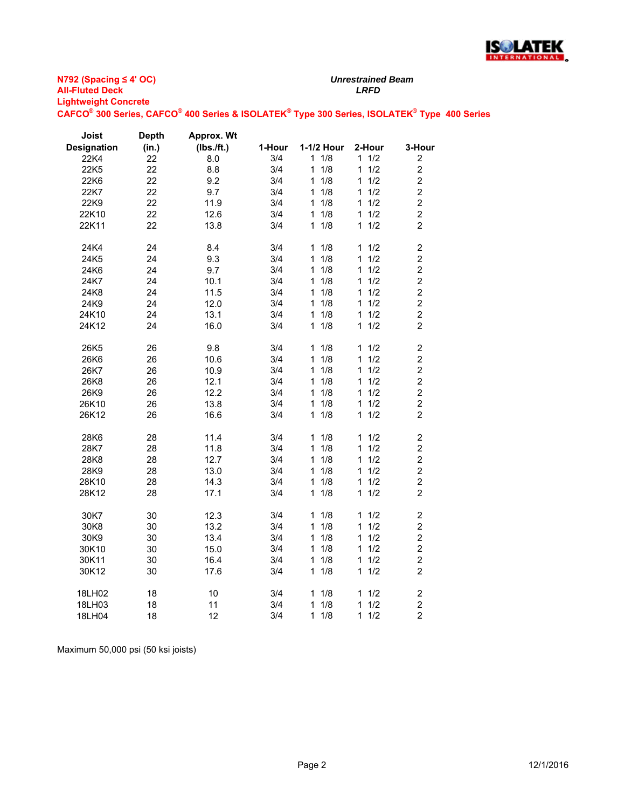

| Joist              | <b>Depth</b> | Approx. Wt |        |                     |                     |                         |
|--------------------|--------------|------------|--------|---------------------|---------------------|-------------------------|
| <b>Designation</b> | (in.)        | (Ibs./ft.) | 1-Hour | 1-1/2 Hour          | 2-Hour              | 3-Hour                  |
| 22K4               | 22           | 8.0        | 3/4    | 11/8                | $1 \quad 1/2$       | 2                       |
| 22K5               | 22           | 8.8        | 3/4    | 1/8<br>1            | 1/2<br>$\mathbf{1}$ | $\overline{c}$          |
| 22K6               | 22           | 9.2        | 3/4    | 1/8<br>1            | 1/2<br>1            | $\overline{c}$          |
| 22K7               | 22           | 9.7        | 3/4    | 1/8<br>1.           | 1/2<br>1            | $\overline{c}$          |
| 22K9               | 22           | 11.9       | 3/4    | 1/8<br>$\mathbf{1}$ | 1/2<br>1            | $\overline{c}$          |
| 22K10              | 22           | 12.6       | 3/4    | 1/8<br>1            | 11/2                | $\overline{c}$          |
| 22K11              | 22           | 13.8       | 3/4    | 1/8<br>1            | 1/2<br>$\mathbf 1$  | $\overline{2}$          |
| 24K4               | 24           | 8.4        | 3/4    | 1/8<br>1.           | 11/2                | 2                       |
| 24K5               | 24           | 9.3        | 3/4    | 1/8<br>1            | 1/2<br>1            | $\overline{c}$          |
| 24K6               | 24           | 9.7        | 3/4    | 1/8<br>1            | 1/2<br>1            | $\overline{c}$          |
| 24K7               | 24           | 10.1       | 3/4    | 1/8<br>1            | 1/2<br>1            | $\overline{c}$          |
| 24K8               | 24           | 11.5       | 3/4    | 1/8<br>1            | 1/2<br>1            | $\overline{\mathbf{c}}$ |
| 24K9               | 24           | 12.0       | 3/4    | 1/8<br>$\mathbf{1}$ | 1/2<br>1            | $\overline{c}$          |
| 24K10              | 24           | 13.1       | 3/4    | 1/8<br>1            | 11/2                | $\overline{c}$          |
| 24K12              | 24           | 16.0       | 3/4    | 1/8<br>1            | 1/2<br>$\mathbf 1$  | $\overline{c}$          |
| 26K5               | 26           | 9.8        | 3/4    | 11/8                | 11/2                | $\overline{\mathbf{c}}$ |
| 26K6               | 26           | 10.6       | 3/4    | 1/8<br>1            | 1/2<br>1            | $\overline{\mathbf{c}}$ |
| 26K7               | 26           | 10.9       | 3/4    | 1/8<br>1            | 1/2<br>1            | $\overline{2}$          |
| 26K8               | 26           | 12.1       | 3/4    | 1/8<br>1            | 11/2                | $\overline{\mathbf{c}}$ |
| 26K9               | 26           | 12.2       | 3/4    | 1/8<br>1            | 11/2                | $\overline{c}$          |
| 26K10              | 26           | 13.8       | 3/4    | 1/8<br>1            | 1/2<br>1            | $\overline{2}$          |
| 26K12              | 26           | 16.6       | 3/4    | 1/8<br>$\mathbf{1}$ | 1/2<br>$\mathbf{1}$ | $\overline{2}$          |
|                    |              |            |        |                     |                     |                         |
| 28K6               | 28           | 11.4       | 3/4    | 1/8<br>1            | 1/2<br>1            | $\overline{c}$          |
| 28K7               | 28           | 11.8       | 3/4    | 1/8<br>1            | 1/2<br>$\mathbf{1}$ | $\overline{\mathbf{c}}$ |
| 28K8               | 28           | 12.7       | 3/4    | 1<br>1/8            | 1/2<br>1            | $\overline{c}$          |
| 28K9               | 28           | 13.0       | 3/4    | 1/8<br>1            | 1/2<br>1            | $\overline{2}$          |
| 28K10              | 28           | 14.3       | 3/4    | 1/8<br>1            | 1/2<br>1            | $\overline{c}$          |
| 28K12              | 28           | 17.1       | 3/4    | 1/8<br>1            | 11/2                | $\overline{2}$          |
| 30K7               | 30           | 12.3       | 3/4    | 1/8<br>1            | 1/2<br>1            | $\overline{\mathbf{c}}$ |
| 30K8               | 30           | 13.2       | 3/4    | 1/8<br>1            | 11/2                | $\overline{c}$          |
| 30K9               | 30           | 13.4       | 3/4    | 1/8<br>1            | 1/2<br>$\mathbf{1}$ | $\boldsymbol{2}$        |
| 30K10              | 30           | 15.0       | 3/4    | 1/8<br>1            | 1/2<br>1            | $\overline{2}$          |
| 30K11              | 30           | 16.4       | 3/4    | 1/8<br>1            | 1/2<br>1            | $\overline{c}$          |
| 30K12              | 30           | 17.6       | 3/4    | 1/8<br>1            | 11/2                | $\overline{c}$          |
|                    |              |            |        |                     |                     |                         |
| 18LH02             | 18           | 10         | 3/4    | 1/8<br>1            | 11/2                | $\boldsymbol{2}$        |
| 18LH03             | 18           | 11         | 3/4    | 1/8<br>1            | 1/2<br>1            | $\overline{c}$          |
| 18LH04             | 18           | 12         | 3/4    | 1/8<br>1            | 1/2<br>1            | $\overline{2}$          |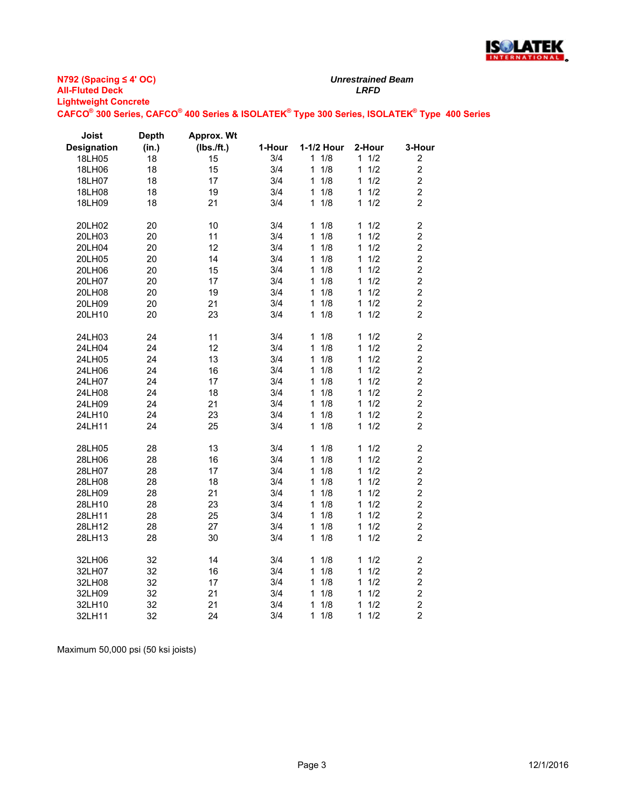

| Joist              | <b>Depth</b> | Approx. Wt |        |            |           |                         |
|--------------------|--------------|------------|--------|------------|-----------|-------------------------|
| <b>Designation</b> | (in.)        | (Ibs./ft.) | 1-Hour | 1-1/2 Hour | 2-Hour    | 3-Hour                  |
| 18LH05             | 18           | 15         | 3/4    | 1<br>1/8   | 11/2      | $\overline{\mathbf{c}}$ |
| 18LH06             | 18           | 15         | 3/4    | 1/8<br>1   | 1/2<br>1  | $\overline{c}$          |
| 18LH07             | 18           | 17         | 3/4    | 1/8<br>1   | 1/2<br>1. | $\overline{c}$          |
| 18LH08             | 18           | 19         | 3/4    | 1/8<br>1   | 1/2<br>1  | $\overline{c}$          |
| 18LH09             | 18           | 21         | 3/4    | 1/8<br>1   | 1/2<br>1  | $\overline{c}$          |
| 20LH02             | 20           | 10         | 3/4    | 1/8<br>1   | 1/2<br>1  | $\overline{\mathbf{c}}$ |
| 20LH03             | 20           | 11         | 3/4    | 1/8<br>1   | 1/2<br>1  | $\overline{c}$          |
| 20LH04             | 20           | 12         | 3/4    | 1<br>1/8   | 1/2<br>1  | $\overline{c}$          |
| 20LH05             | 20           | 14         | 3/4    | 1<br>1/8   | 1/2<br>1  | $\overline{c}$          |
| 20LH06             | 20           | 15         | 3/4    | 1/8<br>1   | 1/2<br>1  | $\overline{a}$          |
| 20LH07             | 20           | 17         | 3/4    | 1/8<br>1   | 1/2<br>1  | $\overline{c}$          |
| 20LH08             | 20           | 19         | 3/4    | 1/8<br>1   | 1/2<br>1  | $\overline{c}$          |
| 20LH09             | 20           | 21         | 3/4    | 1/8<br>1   | 1/2<br>1  | $\overline{c}$          |
| 20LH10             | 20           | 23         | 3/4    | 1/8<br>1   | 11/2      | $\overline{2}$          |
| 24LH03             | 24           | 11         | 3/4    | 1/8<br>1   | 1/2<br>1  | $\overline{c}$          |
| 24LH04             | 24           | 12         | 3/4    | 1/8<br>1   | 1/2<br>1  | $\overline{\mathbf{c}}$ |
| 24LH05             | 24           | 13         | 3/4    | 1/8<br>1   | 1/2<br>1  | $\overline{c}$          |
| 24LH06             | 24           | 16         | 3/4    | 1/8<br>1   | 1/2<br>1  | $\overline{c}$          |
| 24LH07             | 24           | 17         | 3/4    | 1/8<br>1   | 1/2<br>1  | $\overline{\mathbf{c}}$ |
| 24LH08             | 24           | 18         | 3/4    | 1<br>1/8   | 1/2<br>1  | $\overline{c}$          |
| 24LH09             | 24           | 21         | 3/4    | 1/8<br>1   | 1/2<br>1  | $\overline{c}$          |
| 24LH10             | 24           | 23         | 3/4    | 1/8<br>1   | 1/2<br>1  | $\overline{c}$          |
| 24LH11             | 24           | 25         | 3/4    | 1/8<br>1   | 11/2      | $\overline{2}$          |
| 28LH05             | 28           | 13         | 3/4    | 1/8<br>1   | 1/2<br>1  | $\overline{\mathbf{c}}$ |
| 28LH06             | 28           | 16         | 3/4    | 1/8<br>1   | 1/2<br>1  | $\overline{c}$          |
| 28LH07             | 28           | 17         | 3/4    | 1/8<br>1   | 1/2<br>1  | $\overline{c}$          |
| 28LH08             | 28           | 18         | 3/4    | 1/8<br>1   | 1/2<br>1  | $\overline{c}$          |
| 28LH09             | 28           | 21         | 3/4    | 1/8<br>1   | 1/2<br>1  | $\overline{c}$          |
| 28LH10             | 28           | 23         | 3/4    | 1<br>1/8   | 1/2<br>1  | $\overline{c}$          |
| 28LH11             | 28           | 25         | 3/4    | 1<br>1/8   | 1/2<br>1  | $\overline{c}$          |
| 28LH12             | 28           | 27         | 3/4    | 1/8<br>1   | 1/2<br>1  | $\overline{c}$          |
| 28LH13             | 28           | 30         | 3/4    | 1/8<br>1   | 11/2      | $\overline{c}$          |
| 32LH06             | 32           | 14         | 3/4    | 1/8<br>1   | 1/2<br>1  | $\overline{\mathbf{c}}$ |
| 32LH07             | 32           | 16         | 3/4    | 1<br>1/8   | 1<br>1/2  | $\overline{\mathbf{c}}$ |
| 32LH08             | 32           | 17         | 3/4    | 1/8<br>1   | 1/2<br>1  | $\overline{c}$          |
| 32LH09             | 32           | 21         | 3/4    | 1/8<br>1   | 1/2<br>1  | $\overline{c}$          |
| 32LH10             | 32           | 21         | 3/4    | 1<br>1/8   | 1/2<br>1  | $\overline{a}$          |
| 32LH11             | 32           | 24         | 3/4    | 1/8<br>1   | 1/2<br>1  | $\overline{2}$          |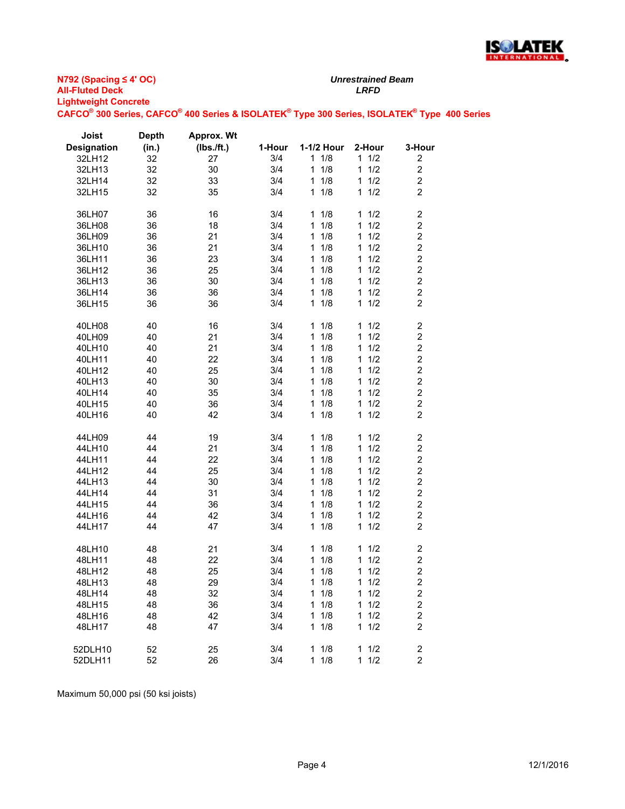

| Joist              | <b>Depth</b> | <b>Approx. Wt</b> |        |            |                     |                         |
|--------------------|--------------|-------------------|--------|------------|---------------------|-------------------------|
| <b>Designation</b> | (in.)        | (Ibs./ft.)        | 1-Hour | 1-1/2 Hour | 2-Hour              | 3-Hour                  |
| 32LH12             | 32           | 27                | 3/4    | 11/8       | 11/2                | 2                       |
| 32LH13             | 32           | 30                | 3/4    | 1<br>1/8   | $\mathbf{1}$<br>1/2 | $\overline{c}$          |
| 32LH14             | 32           | 33                | 3/4    | 1/8<br>1   | 1/2<br>1            | $\overline{\mathbf{c}}$ |
| 32LH15             | 32           | 35                | 3/4    | 1/8<br>1   | 1/2<br>$\mathbf 1$  | $\overline{c}$          |
|                    |              |                   |        |            |                     |                         |
| 36LH07             | 36           | 16                | 3/4    | 1<br>1/8   | 11/2                | $\overline{\mathbf{c}}$ |
| 36LH08             | 36           | 18                | 3/4    | 1/8<br>1   | 1/2<br>1            | $\overline{c}$          |
| 36LH09             | 36           | 21                | 3/4    | 1/8<br>1   | 1/2<br>$\mathbf{1}$ | $\overline{c}$          |
| 36LH10             | 36           | 21                | 3/4    | 1<br>1/8   | 1/2<br>1            | $\overline{\mathbf{c}}$ |
| 36LH11             | 36           | 23                | 3/4    | 1/8<br>1   | 1/2<br>1            | $\overline{c}$          |
| 36LH12             | 36           | 25                | 3/4    | 1/8<br>1   | 1/2<br>1            | $\overline{c}$          |
| 36LH13             | 36           | 30                | 3/4    | 1<br>1/8   | $\mathbf{1}$<br>1/2 | $\overline{c}$          |
| 36LH14             | 36           | 36                | 3/4    | 1<br>1/8   | $\mathbf{1}$<br>1/2 | $\overline{\mathbf{c}}$ |
| 36LH15             | 36           | 36                | 3/4    | 1/8<br>1   | 1/2<br>1            | $\overline{c}$          |
|                    |              |                   |        |            |                     |                         |
| 40LH08             | 40           | 16                | 3/4    | 1<br>1/8   | 1<br>1/2            | $\overline{\mathbf{c}}$ |
| 40LH09             | 40           | 21                | 3/4    | 1/8<br>1   | 1/2<br>1            | $\overline{c}$          |
| 40LH10             | 40           | 21                | 3/4    | 1/8<br>1   | 1/2<br>1            | $\overline{c}$          |
| 40LH11             | 40           | 22                | 3/4    | 1/8<br>1   | 1<br>1/2            | $\overline{c}$          |
| 40LH12             | 40           | 25                | 3/4    | 1<br>1/8   | $\mathbf{1}$<br>1/2 | $\overline{\mathbf{c}}$ |
| 40LH13             | 40           | 30                | 3/4    | 1/8<br>1   | 1/2<br>1            | $\overline{c}$          |
| 40LH14             | 40           | 35                | 3/4    | 1<br>1/8   | 1/2<br>1            | $\overline{c}$          |
| 40LH15             | 40           | 36                | 3/4    | 1/8<br>1   | 1/2<br>1            | $\overline{c}$          |
| 40LH16             | 40           | 42                | 3/4    | 1/8<br>1   | 1/2<br>$\mathbf 1$  | $\overline{2}$          |
|                    |              |                   |        |            |                     |                         |
| 44LH09             | 44           | 19                | 3/4    | 1<br>1/8   | 1/2<br>1            | $\overline{\mathbf{c}}$ |
| 44LH10             | 44           | 21                | 3/4    | 1<br>1/8   | 1/2<br>$\mathbf{1}$ | $\overline{c}$          |
| 44LH11             | 44           | 22                | 3/4    | 1/8<br>1   | 1/2<br>1            | $\overline{\mathbf{c}}$ |
| 44LH12             | 44           | 25                | 3/4    | 1/8<br>1   | 1/2<br>1            | $\overline{\mathbf{c}}$ |
| 44LH13             | 44           | 30                | 3/4    | 1<br>1/8   | 1<br>1/2            | $\overline{c}$          |
| 44LH14             | 44           | 31                | 3/4    | 1<br>1/8   | 1/2<br>1            | $\overline{c}$          |
| 44LH15             | 44           | 36                | 3/4    | 1/8<br>1   | 1/2<br>1            | $\overline{2}$          |
| 44LH16             | 44           | 42                | 3/4    | 1/8<br>1   | 1/2<br>$\mathbf{1}$ | $\overline{c}$          |
| 44LH17             | 44           | 47                | 3/4    | 1/8<br>1   | 1/2<br>1            | $\overline{c}$          |
|                    |              |                   |        |            |                     |                         |
| 48LH10             | 48           | 21                | 3/4    | 1<br>1/8   | 1<br>1/2            | $\overline{c}$          |
| 48LH11             | 48           | 22                | 3/4    | 1/8<br>1   | 1<br>1/2            | $\overline{\mathbf{c}}$ |
| 48LH12             | 48           | 25                | 3/4    | 1<br>1/8   | $\mathbf{1}$<br>1/2 | $\overline{\mathbf{c}}$ |
| 48LH13             | 48           | 29                | 3/4    | 1/8<br>1   | 1/2<br>1            | $\overline{c}$          |
| 48LH14             | 48           | 32                | 3/4    | 1/8<br>1   | 1/2<br>1            | $\overline{c}$          |
| 48LH15             | 48           | 36                | 3/4    | 1/8<br>1   | 1/2<br>1            | $\overline{\mathbf{c}}$ |
| 48LH16             | 48           | 42                | 3/4    | 1/8<br>1   | 1/2<br>1            | $\overline{c}$          |
| 48LH17             | 48           | 47                | 3/4    | 1/8<br>1   | 1/2<br>1            | $\overline{2}$          |
|                    |              |                   |        |            |                     |                         |
| 52DLH10            | 52           | 25                | 3/4    | 1<br>1/8   | 1/2<br>1            | $\overline{\mathbf{c}}$ |
| 52DLH11            | 52           | 26                | 3/4    | 1/8<br>1   | 1<br>1/2            | $\overline{c}$          |
|                    |              |                   |        |            |                     |                         |